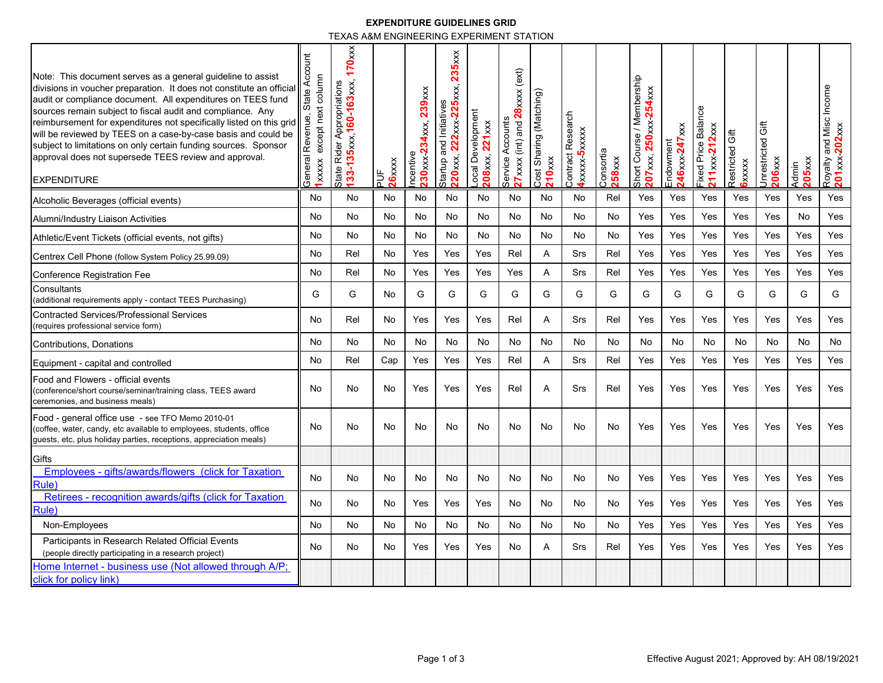## **EXPENDITURE GUIDELINES GRID**

TEXAS A&M ENGINEERING EXPERIMENT STATION

| Note: This document serves as a general guideline to assist<br>divisions in voucher preparation. It does not constitute an official<br>audit or compliance document. All expenditures on TEES fund<br>sources remain subject to fiscal audit and compliance. Any<br>reimbursement for expenditures not specifically listed on this grid<br>will be reviewed by TEES on a case-by-case basis and could be<br>subject to limitations on only certain funding sources. Sponsor<br>approval does not supersede TEES review and approval.<br><b>EXPENDITURE</b> | State Account<br>except next column<br>Revenue,<br>General<br>1xxxx | $170$ xxx<br>133-135xxx, 160-163xxx,<br>Rider Appropriations<br>State I | 26xxxx<br>٩Ĕ | 239xx<br>4xxx,<br>$30x$ $x \times 2$<br>ncentive | 235xx<br>222xxx-225xxx,<br>Startup and Initiatives<br>220xxx, | ocal Development<br>208xxx, 221xxx | 27xxxx (int) and 28xxxx (ext)<br>Service Accounts | Cost Sharing (Matching)<br><b>210xxx</b> | Contract Research<br><b>Axxxxx-5xxxxx</b> | Consortia<br>$258$ xx | Short Course / Membership<br>54xxx<br>$250$ xx $2$<br>207xx,7 | 246xxx 247xxx<br>Endowment | <b>Balance</b><br>$211 \times 212 \times 212$<br><b>Fixed Price</b> | Restricted Gift<br>$6x$ $x$ $x$ $x$ | <b>Sift</b><br>Jnrestricted<br>206xx | 205 <sub>xxx</sub><br>Admin | Royalty and Misc Income<br>201xx-202xxx |
|------------------------------------------------------------------------------------------------------------------------------------------------------------------------------------------------------------------------------------------------------------------------------------------------------------------------------------------------------------------------------------------------------------------------------------------------------------------------------------------------------------------------------------------------------------|---------------------------------------------------------------------|-------------------------------------------------------------------------|--------------|--------------------------------------------------|---------------------------------------------------------------|------------------------------------|---------------------------------------------------|------------------------------------------|-------------------------------------------|-----------------------|---------------------------------------------------------------|----------------------------|---------------------------------------------------------------------|-------------------------------------|--------------------------------------|-----------------------------|-----------------------------------------|
| Alcoholic Beverages (official events)                                                                                                                                                                                                                                                                                                                                                                                                                                                                                                                      | No                                                                  | No                                                                      | No           | No                                               | No                                                            | No                                 | No                                                | No                                       | No                                        | Rel                   | Yes                                                           | Yes                        | Yes                                                                 | Yes                                 | Yes                                  | Yes                         | Yes                                     |
| Alumni/Industry Liaison Activities                                                                                                                                                                                                                                                                                                                                                                                                                                                                                                                         | No                                                                  | No                                                                      | No           | No                                               | No                                                            | No                                 | No                                                | No                                       | No                                        | No                    | Yes                                                           | Yes                        | Yes                                                                 | Yes                                 | Yes                                  | No                          | Yes                                     |
| Athletic/Event Tickets (official events, not gifts)                                                                                                                                                                                                                                                                                                                                                                                                                                                                                                        | No                                                                  | No                                                                      | No           | No                                               | No                                                            | No                                 | No                                                | No                                       | No                                        | No                    | Yes                                                           | Yes                        | Yes                                                                 | Yes                                 | Yes                                  | Yes                         | Yes                                     |
| Centrex Cell Phone (follow System Policy 25.99.09)                                                                                                                                                                                                                                                                                                                                                                                                                                                                                                         | No                                                                  | Rel                                                                     | No           | Yes                                              | Yes                                                           | Yes                                | Rel                                               | A                                        | Srs                                       | Rel                   | Yes                                                           | Yes                        | Yes                                                                 | Yes                                 | Yes                                  | Yes                         | Yes                                     |
| <b>Conference Registration Fee</b>                                                                                                                                                                                                                                                                                                                                                                                                                                                                                                                         | No                                                                  | Rel                                                                     | No           | Yes                                              | Yes                                                           | Yes                                | Yes                                               | A                                        | Srs                                       | Rel                   | Yes                                                           | Yes                        | Yes                                                                 | Yes                                 | Yes                                  | Yes                         | Yes                                     |
| Consultants<br>(additional requirements apply - contact TEES Purchasing)                                                                                                                                                                                                                                                                                                                                                                                                                                                                                   | G                                                                   | G                                                                       | No           | G                                                | G                                                             | G                                  | G                                                 | G                                        | G                                         | G                     | G                                                             | G                          | G                                                                   | G                                   | G                                    | G                           | G                                       |
| <b>Contracted Services/Professional Services</b><br>(requires professional service form)                                                                                                                                                                                                                                                                                                                                                                                                                                                                   | No                                                                  | Rel                                                                     | No           | Yes                                              | Yes                                                           | Yes                                | Rel                                               | A                                        | Srs                                       | Rel                   | Yes                                                           | Yes                        | Yes                                                                 | Yes                                 | Yes                                  | Yes                         | Yes                                     |
| Contributions, Donations                                                                                                                                                                                                                                                                                                                                                                                                                                                                                                                                   | No                                                                  | No                                                                      | No           | No                                               | No                                                            | No                                 | No                                                | No                                       | No                                        | No                    | No                                                            | No                         | No                                                                  | No                                  | No                                   | No                          | No                                      |
| Equipment - capital and controlled                                                                                                                                                                                                                                                                                                                                                                                                                                                                                                                         | No                                                                  | Rel                                                                     | Cap          | Yes                                              | Yes                                                           | Yes                                | Rel                                               | A                                        | Srs                                       | Rel                   | Yes                                                           | Yes                        | Yes                                                                 | Yes                                 | Yes                                  | Yes                         | Yes                                     |
| Food and Flowers - official events<br>(conference/short course/seminar/training class, TEES award<br>ceremonies, and business meals)                                                                                                                                                                                                                                                                                                                                                                                                                       | No                                                                  | No                                                                      | No           | Yes                                              | Yes                                                           | Yes                                | Rel                                               | Α                                        | Srs                                       | Rel                   | Yes                                                           | Yes                        | Yes                                                                 | Yes                                 | Yes                                  | Yes                         | Yes                                     |
| Food - general office use - see TFO Memo 2010-01<br>(coffee, water, candy, etc available to employees, students, office<br>guests, etc, plus holiday parties, receptions, appreciation meals)                                                                                                                                                                                                                                                                                                                                                              | No                                                                  | No                                                                      | No           | No                                               | No                                                            | No                                 | No                                                | No                                       | No                                        | No                    | Yes                                                           | Yes                        | Yes                                                                 | Yes                                 | Yes                                  | Yes                         | Yes                                     |
| Gifts                                                                                                                                                                                                                                                                                                                                                                                                                                                                                                                                                      |                                                                     |                                                                         |              |                                                  |                                                               |                                    |                                                   |                                          |                                           |                       |                                                               |                            |                                                                     |                                     |                                      |                             |                                         |
| Employees - gifts/awards/flowers (click for Taxation<br><b>Rule</b>                                                                                                                                                                                                                                                                                                                                                                                                                                                                                        | No                                                                  | No                                                                      | No           | No                                               | No                                                            | <b>No</b>                          | No.                                               | No                                       | No                                        | No                    | Yes                                                           | Yes                        | Yes                                                                 | Yes                                 | <b>Yes</b>                           | Yes                         | Yes                                     |
| Retirees - recognition awards/gifts (click for Taxation<br>Rule                                                                                                                                                                                                                                                                                                                                                                                                                                                                                            | No                                                                  | No                                                                      | No           | Yes                                              | Yes                                                           | Yes                                | No                                                | No                                       | No                                        | No.                   | Yes                                                           | Yes                        | Yes                                                                 | Yes                                 | Yes                                  | Yes                         | Yes                                     |
| Non-Employees                                                                                                                                                                                                                                                                                                                                                                                                                                                                                                                                              | No                                                                  | No                                                                      | No           | No                                               | No                                                            | No                                 | No                                                | No                                       | No                                        | No                    | Yes                                                           | Yes                        | Yes                                                                 | Yes                                 | Yes                                  | Yes                         | Yes                                     |
| Participants in Research Related Official Events<br>(people directly participating in a research project)                                                                                                                                                                                                                                                                                                                                                                                                                                                  | No                                                                  | No                                                                      | No           | Yes                                              | Yes                                                           | Yes                                | No.                                               | A                                        | Srs                                       | Rel                   | Yes                                                           | Yes                        | Yes                                                                 | Yes                                 | Yes                                  | Yes                         | Yes                                     |
| Home Internet - business use (Not allowed through A/P;<br>click for policy link)                                                                                                                                                                                                                                                                                                                                                                                                                                                                           |                                                                     |                                                                         |              |                                                  |                                                               |                                    |                                                   |                                          |                                           |                       |                                                               |                            |                                                                     |                                     |                                      |                             |                                         |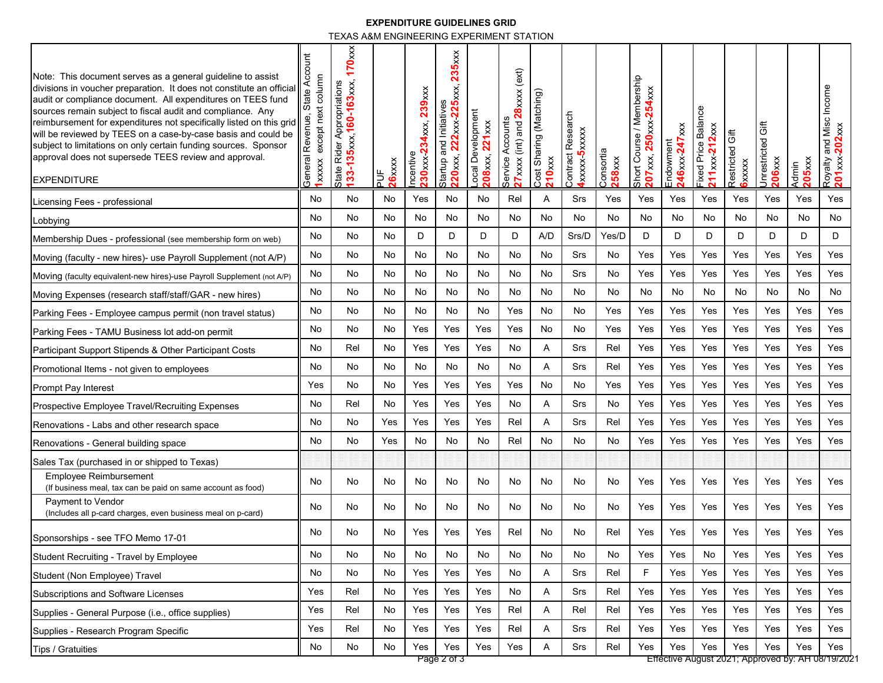## **EXPENDITURE GUIDELINES GRID**

TEXAS A&M ENGINEERING EXPERIMENT STATION

| Note: This document serves as a general guideline to assist<br>divisions in voucher preparation. It does not constitute an official<br>audit or compliance document. All expenditures on TEES fund<br>sources remain subject to fiscal audit and compliance. Any<br>reimbursement for expenditures not specifically listed on this grid<br>will be reviewed by TEES on a case-by-case basis and could be<br>subject to limitations on only certain funding sources. Sponsor<br>approval does not supersede TEES review and approval.<br><b>EXPENDITURE</b> | ō<br>႘<br>column<br>tate A<br>except next<br>Revenue<br>General<br><b>Txxxx</b> | $170$ xxx<br>133-135xxx, 160-163xxx,<br>Rider Appropriations<br>State I | 26xxxx<br>$\frac{1}{2}$ | 239xxx<br>34xxx,<br>$230$ xxx-2<br>ncentive | $235 \times x$<br>222xxx 225xxx,<br>Startup and Initiatives<br>220xxx, | ocal Development<br>$221 \times x$<br>208xxx, | 27xxxx (int) and 28xxxx (ext)<br>Service Accounts | Cost Sharing (Matching)<br><b>210xxx</b> | Contract Research<br><b>Axxxxx-5xxxxx</b> | Consortia<br>258xxx | Short Course / Membership<br>54xxx<br>207xxx, 250xxx-2 | 246xxx 247xxx<br>Endowment | Balance<br>211xxx 212xxx<br><b>Fixed Price</b> | Restricted Gift<br>6xxxx | 5ft<br>Jnrestricted<br>206xxx | 205 <sub>xxx</sub><br>Admin | and Misc Income<br>Royalty and Misc<br><mark>201</mark> xxx- <mark>202</mark> xxx |
|------------------------------------------------------------------------------------------------------------------------------------------------------------------------------------------------------------------------------------------------------------------------------------------------------------------------------------------------------------------------------------------------------------------------------------------------------------------------------------------------------------------------------------------------------------|---------------------------------------------------------------------------------|-------------------------------------------------------------------------|-------------------------|---------------------------------------------|------------------------------------------------------------------------|-----------------------------------------------|---------------------------------------------------|------------------------------------------|-------------------------------------------|---------------------|--------------------------------------------------------|----------------------------|------------------------------------------------|--------------------------|-------------------------------|-----------------------------|-----------------------------------------------------------------------------------|
| Licensing Fees - professional                                                                                                                                                                                                                                                                                                                                                                                                                                                                                                                              | No                                                                              | No                                                                      | No                      | Yes                                         | No                                                                     | No                                            | Rel                                               | Α                                        | Srs                                       | Yes                 | Yes                                                    | Yes                        | Yes                                            | Yes                      | Yes                           | Yes                         | Yes                                                                               |
| Lobbying                                                                                                                                                                                                                                                                                                                                                                                                                                                                                                                                                   | No                                                                              | No                                                                      | No                      | No                                          | No                                                                     | No                                            | No                                                | No                                       | No                                        | No                  | No                                                     | No                         | No                                             | No                       | No                            | No                          | No                                                                                |
| Membership Dues - professional (see membership form on web)                                                                                                                                                                                                                                                                                                                                                                                                                                                                                                | No                                                                              | No                                                                      | No                      | D                                           | D                                                                      | D                                             | D                                                 | A/D                                      | Srs/D                                     | Yes/D               | D                                                      | D                          | D                                              | D                        | D                             | D                           | D                                                                                 |
| Moving (faculty - new hires)- use Payroll Supplement (not A/P)                                                                                                                                                                                                                                                                                                                                                                                                                                                                                             | No                                                                              | No                                                                      | No                      | No                                          | No                                                                     | No                                            | No                                                | No                                       | Srs                                       | No                  | Yes                                                    | Yes                        | Yes                                            | Yes                      | Yes                           | Yes                         | Yes                                                                               |
| Moving (faculty equivalent-new hires)-use Payroll Supplement (not A/P)                                                                                                                                                                                                                                                                                                                                                                                                                                                                                     | No                                                                              | No                                                                      | No                      | No                                          | No                                                                     | No                                            | No                                                | No                                       | Srs                                       | No                  | Yes                                                    | Yes                        | Yes                                            | Yes                      | Yes                           | Yes                         | Yes                                                                               |
| Moving Expenses (research staff/staff/GAR - new hires)                                                                                                                                                                                                                                                                                                                                                                                                                                                                                                     | No                                                                              | No                                                                      | No                      | No                                          | No                                                                     | No                                            | No                                                | No                                       | No                                        | No                  | No                                                     | No                         | No                                             | No                       | No                            | No                          | No                                                                                |
| Parking Fees - Employee campus permit (non travel status)                                                                                                                                                                                                                                                                                                                                                                                                                                                                                                  | No                                                                              | No                                                                      | No                      | No                                          | No                                                                     | No                                            | Yes                                               | No                                       | No                                        | Yes                 | Yes                                                    | Yes                        | Yes                                            | Yes                      | Yes                           | Yes                         | Yes                                                                               |
| Parking Fees - TAMU Business lot add-on permit                                                                                                                                                                                                                                                                                                                                                                                                                                                                                                             | No                                                                              | No                                                                      | No                      | Yes                                         | Yes                                                                    | Yes                                           | Yes                                               | No                                       | No                                        | Yes                 | Yes                                                    | Yes                        | Yes                                            | Yes                      | Yes                           | Yes                         | Yes                                                                               |
| Participant Support Stipends & Other Participant Costs                                                                                                                                                                                                                                                                                                                                                                                                                                                                                                     | No                                                                              | Rel                                                                     | No                      | Yes                                         | Yes                                                                    | Yes                                           | No                                                | A                                        | Srs                                       | Rel                 | Yes                                                    | Yes                        | Yes                                            | Yes                      | Yes                           | Yes                         | Yes                                                                               |
| Promotional Items - not given to employees                                                                                                                                                                                                                                                                                                                                                                                                                                                                                                                 | No                                                                              | No                                                                      | No                      | No                                          | No                                                                     | No                                            | No                                                | Α                                        | Srs                                       | Rel                 | Yes                                                    | Yes                        | Yes                                            | Yes                      | Yes                           | Yes                         | Yes                                                                               |
| Prompt Pay Interest                                                                                                                                                                                                                                                                                                                                                                                                                                                                                                                                        | Yes                                                                             | No                                                                      | No                      | Yes                                         | Yes                                                                    | Yes                                           | Yes                                               | No                                       | No                                        | Yes                 | Yes                                                    | Yes                        | Yes                                            | Yes                      | Yes                           | Yes                         | Yes                                                                               |
| Prospective Employee Travel/Recruiting Expenses                                                                                                                                                                                                                                                                                                                                                                                                                                                                                                            | No                                                                              | Rel                                                                     | No                      | Yes                                         | Yes                                                                    | Yes                                           | No                                                | Α                                        | Srs                                       | No                  | Yes                                                    | Yes                        | Yes                                            | Yes                      | Yes                           | Yes                         | Yes                                                                               |
| Renovations - Labs and other research space                                                                                                                                                                                                                                                                                                                                                                                                                                                                                                                | No                                                                              | No                                                                      | Yes                     | Yes                                         | Yes                                                                    | Yes                                           | Rel                                               | Α                                        | Srs                                       | Rel                 | Yes                                                    | Yes                        | Yes                                            | Yes                      | Yes                           | Yes                         | Yes                                                                               |
| Renovations - General building space                                                                                                                                                                                                                                                                                                                                                                                                                                                                                                                       | No                                                                              | No                                                                      | Yes                     | No                                          | No                                                                     | No                                            | Rel                                               | No                                       | No                                        | No                  | Yes                                                    | Yes                        | Yes                                            | Yes                      | Yes                           | Yes                         | Yes                                                                               |
| Sales Tax (purchased in or shipped to Texas)                                                                                                                                                                                                                                                                                                                                                                                                                                                                                                               |                                                                                 |                                                                         |                         |                                             |                                                                        |                                               |                                                   |                                          |                                           |                     |                                                        |                            |                                                |                          |                               |                             |                                                                                   |
| <b>Employee Reimbursement</b><br>(If business meal, tax can be paid on same account as food)                                                                                                                                                                                                                                                                                                                                                                                                                                                               | No                                                                              | No                                                                      | No                      | No                                          | No                                                                     | No                                            | No                                                | No                                       | No                                        | No                  | Yes                                                    | Yes                        | Yes                                            | Yes                      | Yes                           | Yes                         | Yes                                                                               |
| Payment to Vendor<br>(Includes all p-card charges, even business meal on p-card)                                                                                                                                                                                                                                                                                                                                                                                                                                                                           | No                                                                              | No                                                                      | No                      | No                                          | No                                                                     | No.                                           | No                                                | No.                                      | No                                        | No                  | Yes                                                    | Yes                        | Yes                                            | Yes                      | Yes                           | Yes                         | Yes                                                                               |
| Sponsorships - see TFO Memo 17-01                                                                                                                                                                                                                                                                                                                                                                                                                                                                                                                          | No                                                                              | No                                                                      | No.                     | Yes                                         | Yes                                                                    | Yes                                           | Rel                                               | No.                                      | No.                                       | Rel                 | Yes                                                    | Yes                        | Yes                                            | Yes                      | Yes                           | Yes                         | Yes                                                                               |
| Student Recruiting - Travel by Employee                                                                                                                                                                                                                                                                                                                                                                                                                                                                                                                    | No                                                                              | No                                                                      | No                      | No                                          | No                                                                     | No                                            | No                                                | No                                       | No                                        | No                  | Yes                                                    | Yes                        | No                                             | Yes                      | Yes                           | Yes                         | Yes                                                                               |
| Student (Non Employee) Travel                                                                                                                                                                                                                                                                                                                                                                                                                                                                                                                              | No                                                                              | No                                                                      | No                      | Yes                                         | Yes                                                                    | Yes                                           | No                                                | A                                        | Srs                                       | Rel                 | F.                                                     | Yes                        | Yes                                            | Yes                      | Yes                           | Yes                         | Yes                                                                               |
| Subscriptions and Software Licenses                                                                                                                                                                                                                                                                                                                                                                                                                                                                                                                        | Yes                                                                             | Rel                                                                     | No                      | Yes                                         | Yes                                                                    | Yes                                           | No                                                | Α                                        | Srs                                       | Rel                 | Yes                                                    | Yes                        | Yes                                            | Yes                      | Yes                           | Yes                         | Yes                                                                               |
| Supplies - General Purpose (i.e., office supplies)                                                                                                                                                                                                                                                                                                                                                                                                                                                                                                         | Yes                                                                             | Rel                                                                     | No                      | Yes                                         | Yes                                                                    | Yes                                           | Rel                                               | A                                        | Rel                                       | Rel                 | Yes                                                    | Yes                        | Yes                                            | Yes                      | Yes                           | Yes                         | Yes                                                                               |
| Supplies - Research Program Specific                                                                                                                                                                                                                                                                                                                                                                                                                                                                                                                       | Yes                                                                             | Rel                                                                     | No                      | Yes                                         | Yes                                                                    | Yes                                           | Rel                                               | A                                        | Srs                                       | Rel                 | Yes                                                    | Yes                        | Yes                                            | Yes                      | Yes                           | Yes                         | Yes                                                                               |
| Tips / Gratuities                                                                                                                                                                                                                                                                                                                                                                                                                                                                                                                                          | No                                                                              | No                                                                      | No                      | Yes                                         | Yes                                                                    | Yes                                           | Yes                                               | A                                        | Srs                                       | Rel                 | Yes                                                    | Yes                        | Yes                                            | Yes                      | Yes                           | Yes                         | Yes                                                                               |

Page 2 of 3 **Effective August 2021; Approved by: AH 08/19/2021**